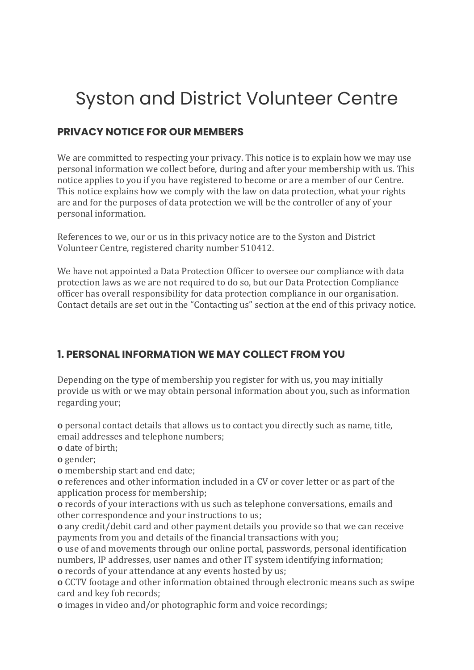# Syston and District Volunteer Centre

## **PRIVACY NOTICE FOR OUR MEMBERS**

We are committed to respecting your privacy. This notice is to explain how we may use personal information we collect before, during and after your membership with us. This notice applies to you if you have registered to become or are a member of our Centre. This notice explains how we comply with the law on data protection, what your rights are and for the purposes of data protection we will be the controller of any of your personal information.

References to we, our or us in this privacy notice are to the Syston and District Volunteer Centre, registered charity number 510412.

We have not appointed a Data Protection Officer to oversee our compliance with data protection laws as we are not required to do so, but our Data Protection Compliance officer has overall responsibility for data protection compliance in our organisation. Contact details are set out in the "Contacting us" section at the end of this privacy notice.

## **1. PERSONAL INFORMATION WE MAY COLLECT FROM YOU**

Depending on the type of membership you register for with us, you may initially provide us with or we may obtain personal information about you, such as information regarding your;

**o** personal contact details that allows us to contact you directly such as name, title, email addresses and telephone numbers;

**o** date of birth;

**o** gender;

**o** membership start and end date;

**o** references and other information included in a CV or cover letter or as part of the application process for membership;

**o** records of your interactions with us such as telephone conversations, emails and other correspondence and your instructions to us;

**o** any credit/debit card and other payment details you provide so that we can receive payments from you and details of the financial transactions with you;

**o** use of and movements through our online portal, passwords, personal identification numbers, IP addresses, user names and other IT system identifying information; **o** records of your attendance at any events hosted by us;

**o** CCTV footage and other information obtained through electronic means such as swipe card and key fob records;

**o** images in video and/or photographic form and voice recordings;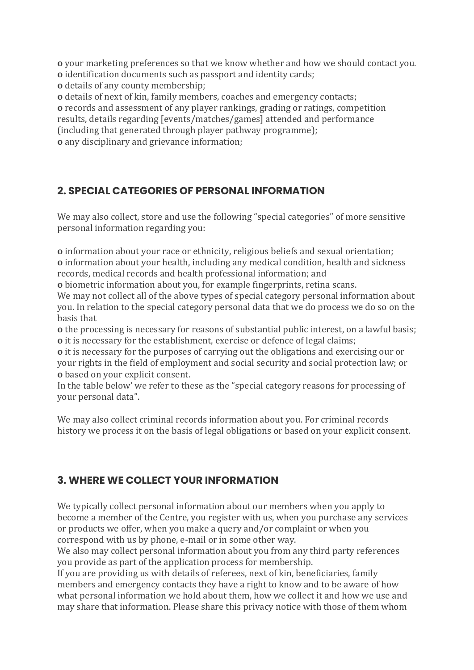**o** your marketing preferences so that we know whether and how we should contact you. **o** identification documents such as passport and identity cards;

**o** details of any county membership;

**o** details of next of kin, family members, coaches and emergency contacts; **o** records and assessment of any player rankings, grading or ratings, competition results, details regarding [events/matches/games] attended and performance (including that generated through player pathway programme);

**o** any disciplinary and grievance information;

## **2. SPECIAL CATEGORIES OF PERSONAL INFORMATION**

We may also collect, store and use the following "special categories" of more sensitive personal information regarding you:

**o** information about your race or ethnicity, religious beliefs and sexual orientation; **o** information about your health, including any medical condition, health and sickness records, medical records and health professional information; and

**o** biometric information about you, for example fingerprints, retina scans.

We may not collect all of the above types of special category personal information about you. In relation to the special category personal data that we do process we do so on the basis that

**o** the processing is necessary for reasons of substantial public interest, on a lawful basis; **o** it is necessary for the establishment, exercise or defence of legal claims;

**o** it is necessary for the purposes of carrying out the obligations and exercising our or your rights in the field of employment and social security and social protection law; or **o** based on your explicit consent.

In the table below' we refer to these as the "special category reasons for processing of your personal data".

We may also collect criminal records information about you. For criminal records history we process it on the basis of legal obligations or based on your explicit consent.

## **3. WHERE WE COLLECT YOUR INFORMATION**

We typically collect personal information about our members when you apply to become a member of the Centre, you register with us, when you purchase any services or products we offer, when you make a query and/or complaint or when you correspond with us by phone, e-mail or in some other way.

We also may collect personal information about you from any third party references you provide as part of the application process for membership.

If you are providing us with details of referees, next of kin, beneficiaries, family members and emergency contacts they have a right to know and to be aware of how what personal information we hold about them, how we collect it and how we use and may share that information. Please share this privacy notice with those of them whom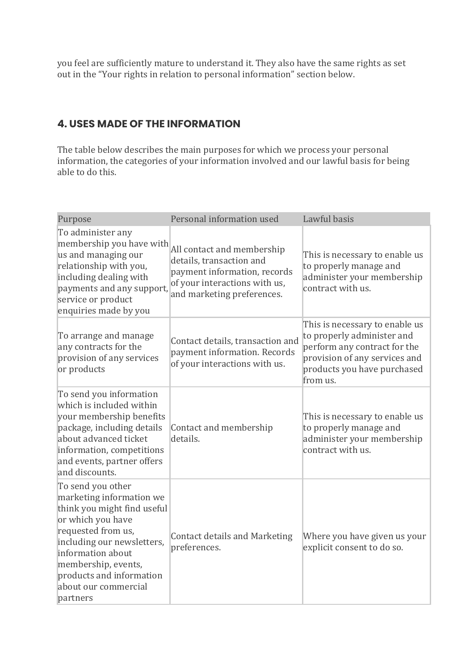you feel are sufficiently mature to understand it. They also have the same rights as set out in the "Your rights in relation to personal information" section below.

## **4. USES MADE OF THE INFORMATION**

The table below describes the main purposes for which we process your personal information, the categories of your information involved and our lawful basis for being able to do this.

| Purpose                                                                                                                                                                                                                                                           | Personal information used                                                                                                                             | Lawful basis                                                                                                                                                             |
|-------------------------------------------------------------------------------------------------------------------------------------------------------------------------------------------------------------------------------------------------------------------|-------------------------------------------------------------------------------------------------------------------------------------------------------|--------------------------------------------------------------------------------------------------------------------------------------------------------------------------|
| To administer any<br>membership you have with<br>us and managing our<br>relationship with you,<br>including dealing with<br>payments and any support,<br>service or product<br>enquiries made by you                                                              | All contact and membership<br>details, transaction and<br>payment information, records<br>of your interactions with us,<br>and marketing preferences. | This is necessary to enable us<br>to properly manage and<br>administer your membership<br>contract with us.                                                              |
| To arrange and manage<br>any contracts for the<br>provision of any services<br>or products                                                                                                                                                                        | Contact details, transaction and<br>payment information. Records<br>of your interactions with us.                                                     | This is necessary to enable us<br>to properly administer and<br>perform any contract for the<br>provision of any services and<br>products you have purchased<br>from us. |
| To send you information<br>which is included within<br>your membership benefits<br>package, including details<br>about advanced ticket<br>information, competitions<br>and events, partner offers<br>and discounts.                                               | Contact and membership<br>details.                                                                                                                    | This is necessary to enable us<br>to properly manage and<br>administer your membership<br>contract with us.                                                              |
| To send you other<br>marketing information we<br>think you might find useful<br>or which you have<br>requested from us,<br>including our newsletters,<br>information about<br>membership, events,<br>products and information<br>about our commercial<br>partners | <b>Contact details and Marketing</b><br>preferences.                                                                                                  | Where you have given us your<br>explicit consent to do so.                                                                                                               |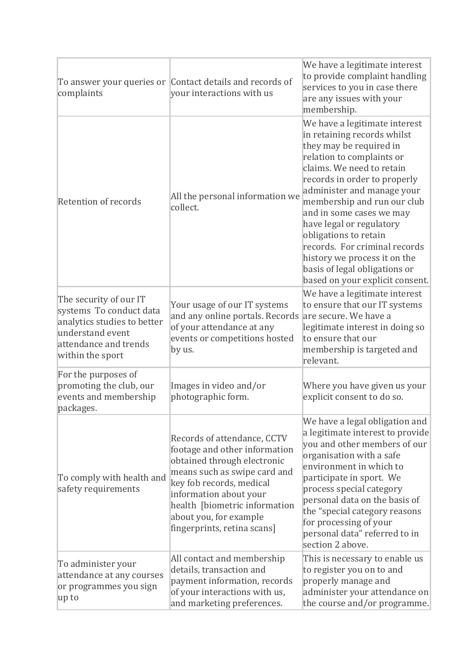| complaints                                                                                                                                        | To answer your queries or Contact details and records of<br>your interactions with us                                                                                                                                                                                       | We have a legitimate interest<br>to provide complaint handling<br>services to you in case there<br>are any issues with your<br>membership.                                                                                                                                                                                                                                                                                                                           |
|---------------------------------------------------------------------------------------------------------------------------------------------------|-----------------------------------------------------------------------------------------------------------------------------------------------------------------------------------------------------------------------------------------------------------------------------|----------------------------------------------------------------------------------------------------------------------------------------------------------------------------------------------------------------------------------------------------------------------------------------------------------------------------------------------------------------------------------------------------------------------------------------------------------------------|
| Retention of records                                                                                                                              | All the personal information we<br>collect.                                                                                                                                                                                                                                 | We have a legitimate interest<br>in retaining records whilst<br>they may be required in<br>relation to complaints or<br>claims. We need to retain<br>records in order to properly<br>administer and manage your<br>membership and run our club<br>and in some cases we may<br>have legal or regulatory<br>obligations to retain<br>records. For criminal records<br>history we process it on the<br>basis of legal obligations or<br>based on your explicit consent. |
| The security of our IT<br>systems To conduct data<br>analytics studies to better<br>understand event<br>attendance and trends<br>within the sport | Your usage of our IT systems<br>and any online portals. Records are secure. We have a<br>of your attendance at any<br>events or competitions hosted<br>by us.                                                                                                               | We have a legitimate interest<br>to ensure that our IT systems<br>legitimate interest in doing so<br>to ensure that our<br>membership is targeted and<br>relevant.                                                                                                                                                                                                                                                                                                   |
| For the purposes of<br>promoting the club, our<br>events and membership<br>packages.                                                              | Images in video and/or<br>photographic form.                                                                                                                                                                                                                                | Where you have given us your<br>explicit consent to do so.                                                                                                                                                                                                                                                                                                                                                                                                           |
| To comply with health and<br>safety requirements                                                                                                  | Records of attendance, CCTV<br>footage and other information<br>obtained through electronic<br>means such as swipe card and<br>key fob records, medical<br>information about your<br>health [biometric information<br>about you, for example<br>fingerprints, retina scans] | We have a legal obligation and<br>a legitimate interest to provide<br>you and other members of our<br>organisation with a safe<br>environment in which to<br>participate in sport. We<br>process special category<br>personal data on the basis of<br>the "special category reasons<br>for processing of your<br>personal data" referred to in<br>section 2 above.                                                                                                   |
| To administer your<br>attendance at any courses<br>or programmes you sign<br>up to                                                                | All contact and membership<br>details, transaction and<br>payment information, records<br>of your interactions with us,<br>and marketing preferences.                                                                                                                       | This is necessary to enable us<br>to register you on to and<br>properly manage and<br>administer your attendance on<br>the course and/or programme.                                                                                                                                                                                                                                                                                                                  |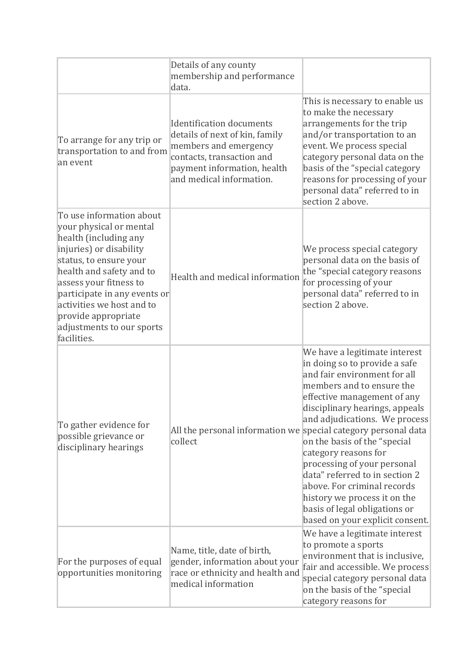|                                                                                                                                                                                                                                                                                                                         | Details of any county<br>membership and performance<br>data.                                                                                                                |                                                                                                                                                                                                                                                                                                                                                                                                                                                                                           |
|-------------------------------------------------------------------------------------------------------------------------------------------------------------------------------------------------------------------------------------------------------------------------------------------------------------------------|-----------------------------------------------------------------------------------------------------------------------------------------------------------------------------|-------------------------------------------------------------------------------------------------------------------------------------------------------------------------------------------------------------------------------------------------------------------------------------------------------------------------------------------------------------------------------------------------------------------------------------------------------------------------------------------|
| To arrange for any trip or<br>transportation to and from<br>an event                                                                                                                                                                                                                                                    | Identification documents<br>details of next of kin, family<br>members and emergency<br>contacts, transaction and<br>payment information, health<br>and medical information. | This is necessary to enable us<br>to make the necessary<br>arrangements for the trip<br>and/or transportation to an<br>event. We process special<br>category personal data on the<br>basis of the "special category<br>reasons for processing of your<br>personal data" referred to in<br>section 2 above.                                                                                                                                                                                |
| To use information about<br>your physical or mental<br>health (including any<br>injuries) or disability<br>status, to ensure your<br>health and safety and to<br>assess your fitness to<br>participate in any events or<br>activities we host and to<br>provide appropriate<br>adjustments to our sports<br>facilities. | Health and medical information                                                                                                                                              | We process special category<br>personal data on the basis of<br>the "special category reasons<br>for processing of your<br>personal data" referred to in<br>section 2 above.                                                                                                                                                                                                                                                                                                              |
| To gather evidence for<br>possible grievance or<br>disciplinary hearings                                                                                                                                                                                                                                                | All the personal information we special category personal data<br>collect                                                                                                   | We have a legitimate interest<br>in doing so to provide a safe<br>and fair environment for all<br>members and to ensure the<br>effective management of any<br>disciplinary hearings, appeals<br>and adjudications. We process<br>on the basis of the "special<br>category reasons for<br>processing of your personal<br>data" referred to in section 2<br>above. For criminal records<br>history we process it on the<br>basis of legal obligations or<br>based on your explicit consent. |
| For the purposes of equal<br>opportunities monitoring                                                                                                                                                                                                                                                                   | Name, title, date of birth,<br>gender, information about your<br>race or ethnicity and health and<br>medical information                                                    | We have a legitimate interest<br>to promote a sports<br>environment that is inclusive,<br>fair and accessible. We process<br>special category personal data<br>on the basis of the "special<br>category reasons for                                                                                                                                                                                                                                                                       |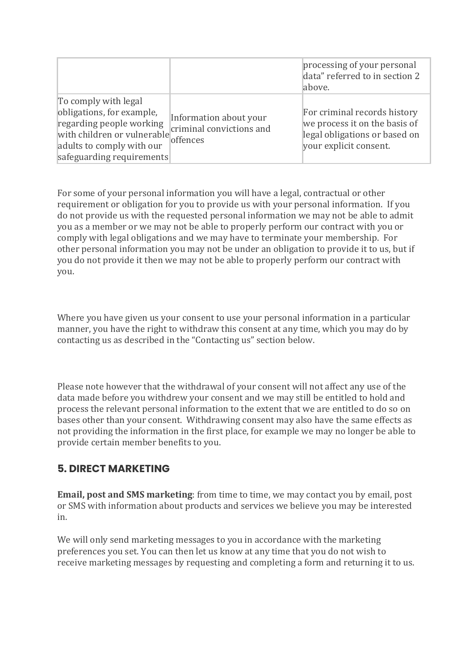|                                                                                                                                                                        |                                                                | processing of your personal<br>data" referred to in section 2<br>above.                                                  |
|------------------------------------------------------------------------------------------------------------------------------------------------------------------------|----------------------------------------------------------------|--------------------------------------------------------------------------------------------------------------------------|
| To comply with legal<br>obligations, for example,<br>regarding people working<br>with children or vulnerable<br>adults to comply with our<br>safeguarding requirements | Information about your<br>criminal convictions and<br>offences | For criminal records history<br>we process it on the basis of<br>legal obligations or based on<br>your explicit consent. |

For some of your personal information you will have a legal, contractual or other requirement or obligation for you to provide us with your personal information. If you do not provide us with the requested personal information we may not be able to admit you as a member or we may not be able to properly perform our contract with you or comply with legal obligations and we may have to terminate your membership. For other personal information you may not be under an obligation to provide it to us, but if you do not provide it then we may not be able to properly perform our contract with you.

Where you have given us your consent to use your personal information in a particular manner, you have the right to withdraw this consent at any time, which you may do by contacting us as described in the "Contacting us" section below.

Please note however that the withdrawal of your consent will not affect any use of the data made before you withdrew your consent and we may still be entitled to hold and process the relevant personal information to the extent that we are entitled to do so on bases other than your consent. Withdrawing consent may also have the same effects as not providing the information in the first place, for example we may no longer be able to provide certain member benefits to you.

## **5. DIRECT MARKETING**

**Email, post and SMS marketing**: from time to time, we may contact you by email, post or SMS with information about products and services we believe you may be interested in.

We will only send marketing messages to you in accordance with the marketing preferences you set. You can then let us know at any time that you do not wish to receive marketing messages by requesting and completing a form and returning it to us.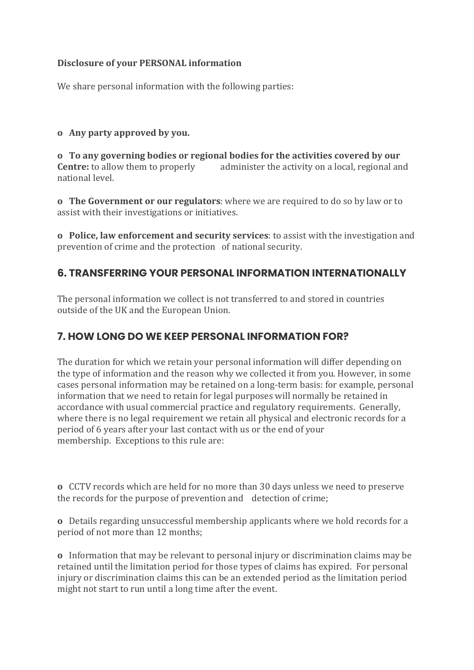#### **Disclosure of your PERSONAL information**

We share personal information with the following parties:

#### **o Any party approved by you.**

**o To any governing bodies or regional bodies for the activities covered by our <b>Centre:** to allow them to properly administer the activity on a local, regional an administer the activity on a local, regional and national level.

**o The Government or our regulators**: where we are required to do so by law or to assist with their investigations or initiatives.

**o Police, law enforcement and security services**: to assist with the investigation and prevention of crime and the protection of national security.

## **6. TRANSFERRING YOUR PERSONAL INFORMATION INTERNATIONALLY**

The personal information we collect is not transferred to and stored in countries outside of the UK and the European Union.

## **7. HOW LONG DO WE KEEP PERSONAL INFORMATION FOR?**

The duration for which we retain your personal information will differ depending on the type of information and the reason why we collected it from you. However, in some cases personal information may be retained on a long-term basis: for example, personal information that we need to retain for legal purposes will normally be retained in accordance with usual commercial practice and regulatory requirements. Generally, where there is no legal requirement we retain all physical and electronic records for a period of 6 years after your last contact with us or the end of your membership. Exceptions to this rule are:

**o** CCTV records which are held for no more than 30 days unless we need to preserve the records for the purpose of prevention and detection of crime;

**o** Details regarding unsuccessful membership applicants where we hold records for a period of not more than 12 months;

**o** Information that may be relevant to personal injury or discrimination claims may be retained until the limitation period for those types of claims has expired. For personal injury or discrimination claims this can be an extended period as the limitation period might not start to run until a long time after the event.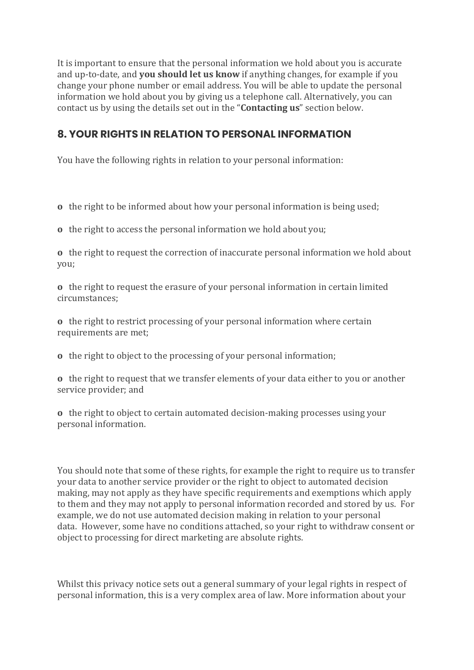It is important to ensure that the personal information we hold about you is accurate and up-to-date, and **you should let us know** if anything changes, for example if you change your phone number or email address. You will be able to update the personal information we hold about you by giving us a telephone call. Alternatively, you can contact us by using the details set out in the "**Contacting us**" section below.

### **8. YOUR RIGHTS IN RELATION TO PERSONAL INFORMATION**

You have the following rights in relation to your personal information:

**o** the right to be informed about how your personal information is being used;

**o** the right to access the personal information we hold about you;

**o** the right to request the correction of inaccurate personal information we hold about you;

**o** the right to request the erasure of your personal information in certain limited circumstances;

**o** the right to restrict processing of your personal information where certain requirements are met;

**o** the right to object to the processing of your personal information;

**o** the right to request that we transfer elements of your data either to you or another service provider; and

**o** the right to object to certain automated decision-making processes using your personal information.

You should note that some of these rights, for example the right to require us to transfer your data to another service provider or the right to object to automated decision making, may not apply as they have specific requirements and exemptions which apply to them and they may not apply to personal information recorded and stored by us. For example, we do not use automated decision making in relation to your personal data. However, some have no conditions attached, so your right to withdraw consent or object to processing for direct marketing are absolute rights.

Whilst this privacy notice sets out a general summary of your legal rights in respect of personal information, this is a very complex area of law. More information about your